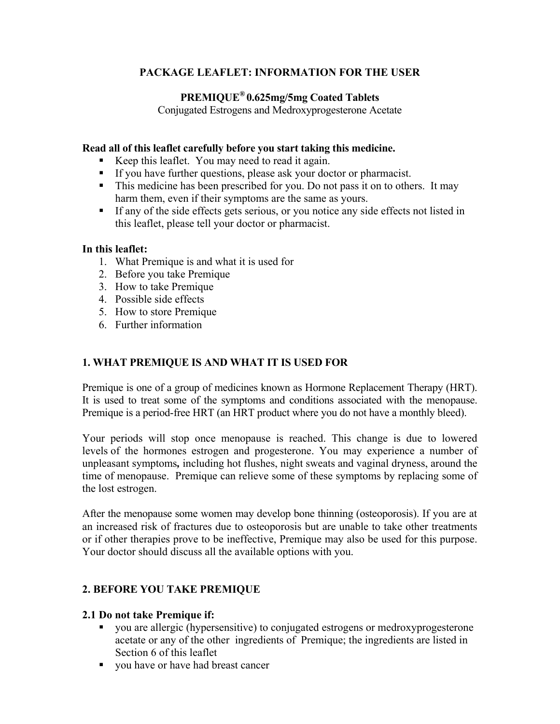# **PACKAGE LEAFLET: INFORMATION FOR THE USER**

# **PREMIQUE® 0.625mg/5mg Coated Tablets**

Conjugated Estrogens and Medroxyprogesterone Acetate

### **Read all of this leaflet carefully before you start taking this medicine.**

- Keep this leaflet. You may need to read it again.
- If you have further questions, please ask your doctor or pharmacist.
- This medicine has been prescribed for you. Do not pass it on to others. It may harm them, even if their symptoms are the same as yours.
- If any of the side effects gets serious, or you notice any side effects not listed in this leaflet, please tell your doctor or pharmacist.

## **In this leaflet:**

- 1. What Premique is and what it is used for
- 2. Before you take Premique
- 3. How to take Premique
- 4. Possible side effects
- 5. How to store Premique
- 6. Further information

# **1. WHAT PREMIQUE IS AND WHAT IT IS USED FOR**

Premique is one of a group of medicines known as Hormone Replacement Therapy (HRT). It is used to treat some of the symptoms and conditions associated with the menopause. Premique is a period-free HRT (an HRT product where you do not have a monthly bleed).

Your periods will stop once menopause is reached. This change is due to lowered levels of the hormones estrogen and progesterone. You may experience a number of unpleasant symptoms*,* including hot flushes, night sweats and vaginal dryness, around the time of menopause. Premique can relieve some of these symptoms by replacing some of the lost estrogen.

After the menopause some women may develop bone thinning (osteoporosis). If you are at an increased risk of fractures due to osteoporosis but are unable to take other treatments or if other therapies prove to be ineffective, Premique may also be used for this purpose. Your doctor should discuss all the available options with you.

# **2. BEFORE YOU TAKE PREMIQUE**

## **2.1 Do not take Premique if:**

- vou are allergic (hypersensitive) to conjugated estrogens or medroxyprogesterone acetate or any of the other ingredients of Premique; the ingredients are listed in Section 6 of this leaflet
- vou have or have had breast cancer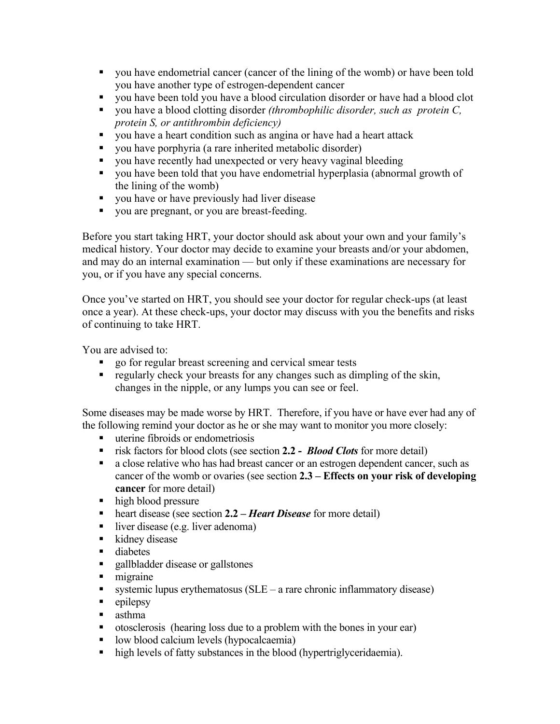- you have endometrial cancer (cancer of the lining of the womb) or have been told you have another type of estrogen-dependent cancer
- you have been told you have a blood circulation disorder or have had a blood clot
- you have a blood clotting disorder *(thrombophilic disorder, such as protein C, protein S, or antithrombin deficiency)*
- you have a heart condition such as angina or have had a heart attack
- you have porphyria (a rare inherited metabolic disorder)
- vou have recently had unexpected or very heavy vaginal bleeding
- vou have been told that you have endometrial hyperplasia (abnormal growth of the lining of the womb)
- vou have or have previously had liver disease
- vou are pregnant, or you are breast-feeding.

Before you start taking HRT, your doctor should ask about your own and your family's medical history. Your doctor may decide to examine your breasts and/or your abdomen, and may do an internal examination — but only if these examinations are necessary for you, or if you have any special concerns.

Once you've started on HRT, you should see your doctor for regular check-ups (at least once a year). At these check-ups, your doctor may discuss with you the benefits and risks of continuing to take HRT.

You are advised to:

- go for regular breast screening and cervical smear tests
- regularly check your breasts for any changes such as dimpling of the skin, changes in the nipple, or any lumps you can see or feel.

Some diseases may be made worse by HRT. Therefore, if you have or have ever had any of the following remind your doctor as he or she may want to monitor you more closely:

- uterine fibroids or endometriosis
- risk factors for blood clots (see section **2.2 -** *Blood Clots* for more detail)
- a close relative who has had breast cancer or an estrogen dependent cancer, such as cancer of the womb or ovaries (see section **2.3 – Effects on your risk of developing cancer** for more detail)
- high blood pressure
- heart disease (see section 2.2 *Heart Disease* for more detail)
- liver disease (e.g. liver adenoma)
- **u** kidney disease
- diabetes
- **Example 1** gallbladder disease or gallstones
- migraine
- systemic lupus erythematosus ( $SLE a$  rare chronic inflammatory disease)
- $\blacksquare$  epilepsy
- **asthma**
- otosclerosis (hearing loss due to a problem with the bones in your ear)
- **I** low blood calcium levels (hypocalcaemia)
- high levels of fatty substances in the blood (hypertriglyceridaemia).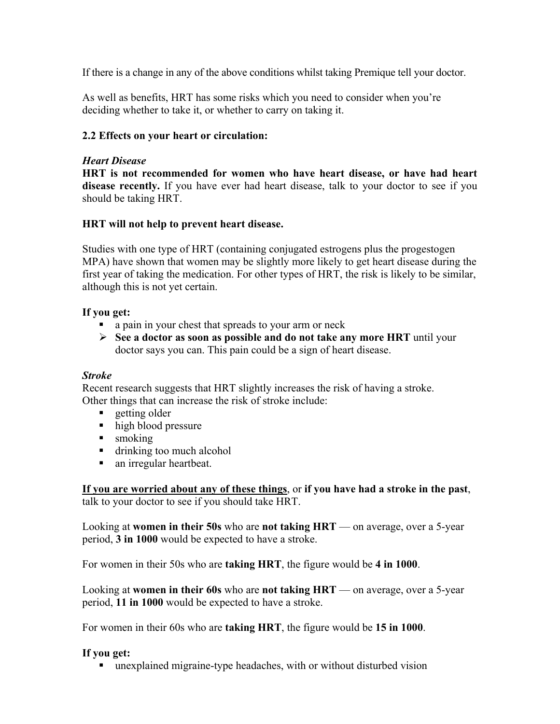If there is a change in any of the above conditions whilst taking Premique tell your doctor.

As well as benefits, HRT has some risks which you need to consider when you're deciding whether to take it, or whether to carry on taking it.

# **2.2 Effects on your heart or circulation:**

## *Heart Disease*

**HRT is not recommended for women who have heart disease, or have had heart disease recently.** If you have ever had heart disease, talk to your doctor to see if you should be taking HRT.

## **HRT will not help to prevent heart disease.**

Studies with one type of HRT (containing conjugated estrogens plus the progestogen MPA) have shown that women may be slightly more likely to get heart disease during the first year of taking the medication. For other types of HRT, the risk is likely to be similar, although this is not yet certain.

## **If you get:**

- a pain in your chest that spreads to your arm or neck
- **See a doctor as soon as possible and do not take any more HRT** until your doctor says you can. This pain could be a sign of heart disease.

## *Stroke*

Recent research suggests that HRT slightly increases the risk of having a stroke. Other things that can increase the risk of stroke include:

- $\blacksquare$  getting older
- high blood pressure
- **smoking**
- drinking too much alcohol
- an irregular heartbeat.

**If you are worried about any of these things**, or **if you have had a stroke in the past**, talk to your doctor to see if you should take HRT.

Looking at **women in their 50s** who are **not taking HRT** — on average, over a 5-year period, **3 in 1000** would be expected to have a stroke.

For women in their 50s who are **taking HRT**, the figure would be **4 in 1000**.

Looking at **women in their 60s** who are **not taking HRT** — on average, over a 5-year period, **11 in 1000** would be expected to have a stroke.

For women in their 60s who are **taking HRT**, the figure would be **15 in 1000**.

## **If you get:**

unexplained migraine-type headaches, with or without disturbed vision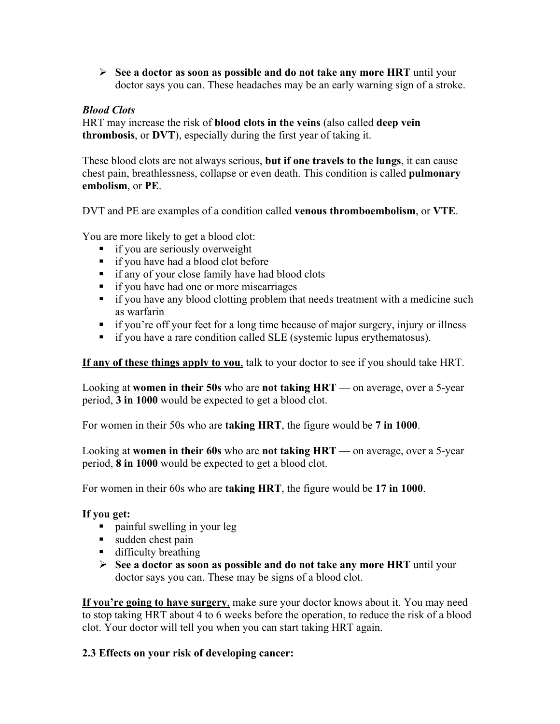**See a doctor as soon as possible and do not take any more HRT** until your doctor says you can. These headaches may be an early warning sign of a stroke.

# *Blood Clots*

HRT may increase the risk of **blood clots in the veins** (also called **deep vein thrombosis**, or **DVT**), especially during the first year of taking it.

These blood clots are not always serious, **but if one travels to the lungs**, it can cause chest pain, breathlessness, collapse or even death. This condition is called **pulmonary embolism**, or **PE**.

DVT and PE are examples of a condition called **venous thromboembolism**, or **VTE**.

You are more likely to get a blood clot:

- **i** if you are seriously overweight
- **i** if you have had a blood clot before
- **i** if any of your close family have had blood clots
- **i** if you have had one or more miscarriages
- if you have any blood clotting problem that needs treatment with a medicine such as warfarin
- if you're off your feet for a long time because of major surgery, injury or illness
- if you have a rare condition called SLE (systemic lupus erythematosus).

**If any of these things apply to you**, talk to your doctor to see if you should take HRT.

Looking at **women in their 50s** who are **not taking HRT** — on average, over a 5-year period, **3 in 1000** would be expected to get a blood clot.

For women in their 50s who are **taking HRT**, the figure would be **7 in 1000**.

Looking at **women in their 60s** who are **not taking HRT** — on average, over a 5-year period, **8 in 1000** would be expected to get a blood clot.

For women in their 60s who are **taking HRT**, the figure would be **17 in 1000**.

## **If you get:**

- painful swelling in your leg
- sudden chest pain
- difficulty breathing
- **See a doctor as soon as possible and do not take any more HRT** until your doctor says you can. These may be signs of a blood clot.

**If you're going to have surgery**, make sure your doctor knows about it. You may need to stop taking HRT about 4 to 6 weeks before the operation, to reduce the risk of a blood clot. Your doctor will tell you when you can start taking HRT again.

# **2.3 Effects on your risk of developing cancer:**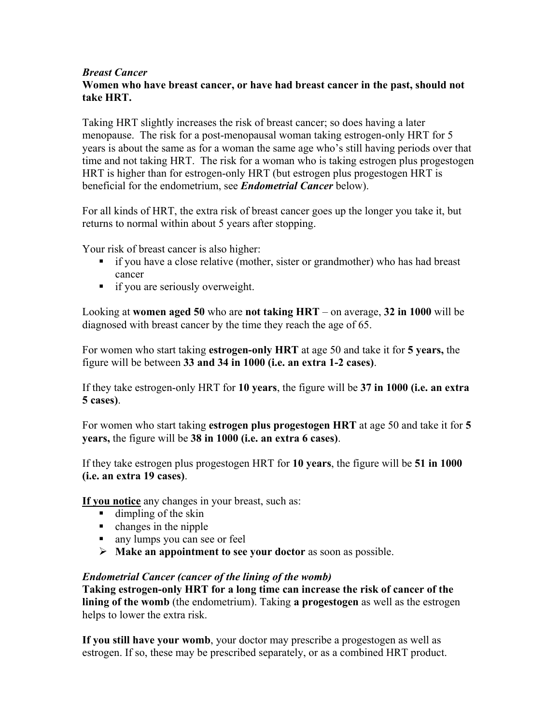## *Breast Cancer*

# **Women who have breast cancer, or have had breast cancer in the past, should not take HRT.**

Taking HRT slightly increases the risk of breast cancer; so does having a later menopause. The risk for a post-menopausal woman taking estrogen-only HRT for 5 years is about the same as for a woman the same age who's still having periods over that time and not taking HRT. The risk for a woman who is taking estrogen plus progestogen HRT is higher than for estrogen-only HRT (but estrogen plus progestogen HRT is beneficial for the endometrium, see *Endometrial Cancer* below).

For all kinds of HRT, the extra risk of breast cancer goes up the longer you take it, but returns to normal within about 5 years after stopping.

Your risk of breast cancer is also higher:

- if you have a close relative (mother, sister or grandmother) who has had breast cancer
- **i** if you are seriously overweight.

Looking at **women aged 50** who are **not taking HRT** – on average, **32 in 1000** will be diagnosed with breast cancer by the time they reach the age of 65.

For women who start taking **estrogen-only HRT** at age 50 and take it for **5 years,** the figure will be between **33 and 34 in 1000 (i.e. an extra 1-2 cases)**.

If they take estrogen-only HRT for **10 years**, the figure will be **37 in 1000 (i.e. an extra 5 cases)**.

For women who start taking **estrogen plus progestogen HRT** at age 50 and take it for **5 years,** the figure will be **38 in 1000 (i.e. an extra 6 cases)**.

If they take estrogen plus progestogen HRT for **10 years**, the figure will be **51 in 1000 (i.e. an extra 19 cases)**.

**If you notice** any changes in your breast, such as:

- $\blacksquare$  dimpling of the skin
- $\blacksquare$  changes in the nipple
- any lumps you can see or feel
- **Make an appointment to see your doctor** as soon as possible.

### *Endometrial Cancer (cancer of the lining of the womb)*

**Taking estrogen-only HRT for a long time can increase the risk of cancer of the lining of the womb** (the endometrium). Taking **a progestogen** as well as the estrogen helps to lower the extra risk.

**If you still have your womb**, your doctor may prescribe a progestogen as well as estrogen. If so, these may be prescribed separately, or as a combined HRT product.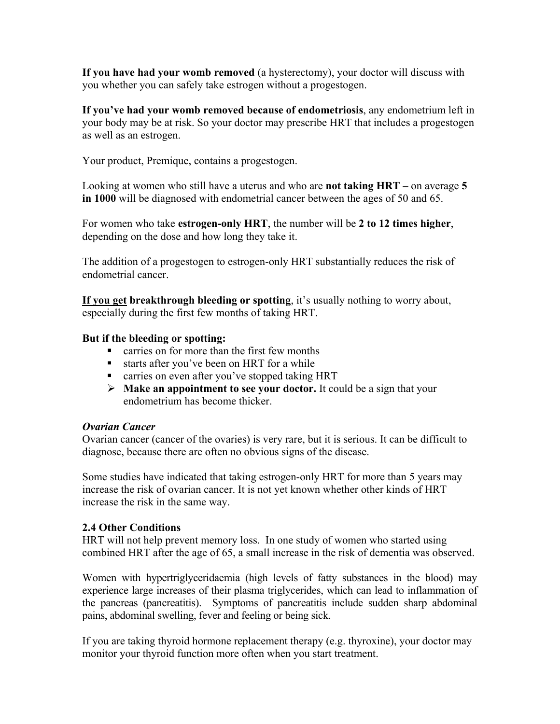**If you have had your womb removed** (a hysterectomy), your doctor will discuss with you whether you can safely take estrogen without a progestogen.

**If you've had your womb removed because of endometriosis**, any endometrium left in your body may be at risk. So your doctor may prescribe HRT that includes a progestogen as well as an estrogen.

Your product, Premique, contains a progestogen.

Looking at women who still have a uterus and who are **not taking HRT –** on average **5 in 1000** will be diagnosed with endometrial cancer between the ages of 50 and 65.

For women who take **estrogen-only HRT**, the number will be **2 to 12 times higher**, depending on the dose and how long they take it.

The addition of a progestogen to estrogen-only HRT substantially reduces the risk of endometrial cancer.

**If you get breakthrough bleeding or spotting**, it's usually nothing to worry about, especially during the first few months of taking HRT.

### **But if the bleeding or spotting:**

- carries on for more than the first few months
- starts after you've been on HRT for a while
- **Example 3** carries on even after you've stopped taking HRT
- **Make an appointment to see your doctor.** It could be a sign that your endometrium has become thicker.

### *Ovarian Cancer*

Ovarian cancer (cancer of the ovaries) is very rare, but it is serious. It can be difficult to diagnose, because there are often no obvious signs of the disease.

Some studies have indicated that taking estrogen-only HRT for more than 5 years may increase the risk of ovarian cancer. It is not yet known whether other kinds of HRT increase the risk in the same way.

### **2.4 Other Conditions**

HRT will not help prevent memory loss. In one study of women who started using combined HRT after the age of 65, a small increase in the risk of dementia was observed.

Women with hypertriglyceridaemia (high levels of fatty substances in the blood) may experience large increases of their plasma triglycerides, which can lead to inflammation of the pancreas (pancreatitis). Symptoms of pancreatitis include sudden sharp abdominal pains, abdominal swelling, fever and feeling or being sick.

If you are taking thyroid hormone replacement therapy (e.g. thyroxine), your doctor may monitor your thyroid function more often when you start treatment.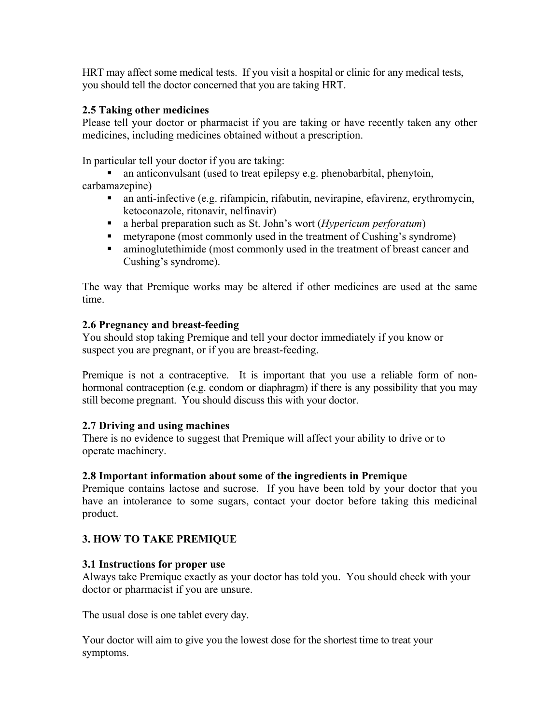HRT may affect some medical tests. If you visit a hospital or clinic for any medical tests, you should tell the doctor concerned that you are taking HRT.

# **2.5 Taking other medicines**

Please tell your doctor or pharmacist if you are taking or have recently taken any other medicines, including medicines obtained without a prescription.

In particular tell your doctor if you are taking:

- an anticonvulsant (used to treat epilepsy e.g. phenobarbital, phenytoin, carbamazepine)
	- an anti-infective (e.g. rifampicin, rifabutin, nevirapine, efavirenz, erythromycin, ketoconazole, ritonavir, nelfinavir)
	- a herbal preparation such as St. John's wort (*Hypericum perforatum*)
	- **Example 1** metyrapone (most commonly used in the treatment of Cushing's syndrome)
	- aminoglutethimide (most commonly used in the treatment of breast cancer and Cushing's syndrome).

The way that Premique works may be altered if other medicines are used at the same time.

# **2.6 Pregnancy and breast-feeding**

You should stop taking Premique and tell your doctor immediately if you know or suspect you are pregnant, or if you are breast-feeding.

Premique is not a contraceptive. It is important that you use a reliable form of nonhormonal contraception (e.g. condom or diaphragm) if there is any possibility that you may still become pregnant. You should discuss this with your doctor.

# **2.7 Driving and using machines**

There is no evidence to suggest that Premique will affect your ability to drive or to operate machinery.

# **2.8 Important information about some of the ingredients in Premique**

Premique contains lactose and sucrose. If you have been told by your doctor that you have an intolerance to some sugars, contact your doctor before taking this medicinal product.

# **3. HOW TO TAKE PREMIQUE**

# **3.1 Instructions for proper use**

Always take Premique exactly as your doctor has told you. You should check with your doctor or pharmacist if you are unsure.

The usual dose is one tablet every day.

Your doctor will aim to give you the lowest dose for the shortest time to treat your symptoms.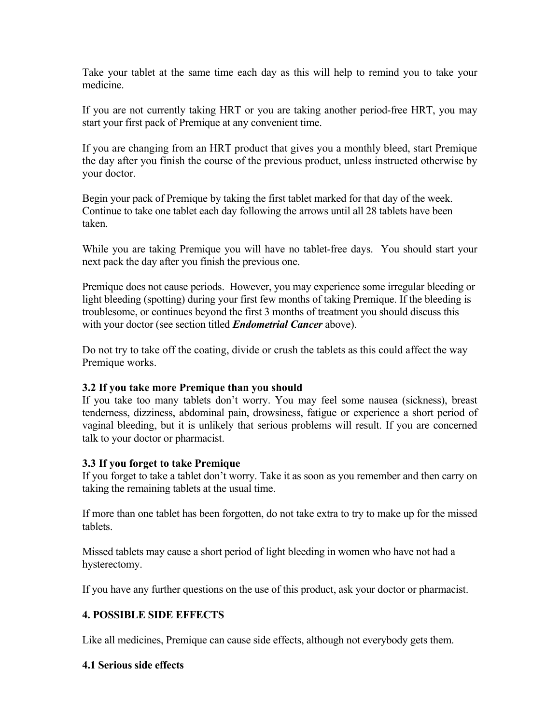Take your tablet at the same time each day as this will help to remind you to take your medicine.

If you are not currently taking HRT or you are taking another period-free HRT, you may start your first pack of Premique at any convenient time.

If you are changing from an HRT product that gives you a monthly bleed, start Premique the day after you finish the course of the previous product, unless instructed otherwise by your doctor.

Begin your pack of Premique by taking the first tablet marked for that day of the week. Continue to take one tablet each day following the arrows until all 28 tablets have been taken.

While you are taking Premique you will have no tablet-free days. You should start your next pack the day after you finish the previous one.

Premique does not cause periods. However, you may experience some irregular bleeding or light bleeding (spotting) during your first few months of taking Premique. If the bleeding is troublesome, or continues beyond the first 3 months of treatment you should discuss this with your doctor (see section titled *Endometrial Cancer* above).

Do not try to take off the coating, divide or crush the tablets as this could affect the way Premique works.

### **3.2 If you take more Premique than you should**

If you take too many tablets don't worry. You may feel some nausea (sickness), breast tenderness, dizziness, abdominal pain, drowsiness, fatigue or experience a short period of vaginal bleeding, but it is unlikely that serious problems will result. If you are concerned talk to your doctor or pharmacist.

### **3.3 If you forget to take Premique**

If you forget to take a tablet don't worry. Take it as soon as you remember and then carry on taking the remaining tablets at the usual time.

If more than one tablet has been forgotten, do not take extra to try to make up for the missed tablets.

Missed tablets may cause a short period of light bleeding in women who have not had a hysterectomy.

If you have any further questions on the use of this product, ask your doctor or pharmacist.

## **4. POSSIBLE SIDE EFFECTS**

Like all medicines, Premique can cause side effects, although not everybody gets them.

### **4.1 Serious side effects**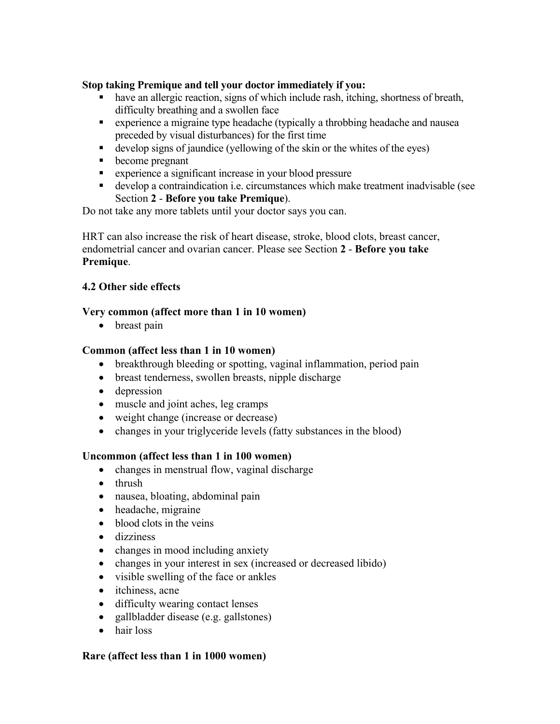## **Stop taking Premique and tell your doctor immediately if you:**

- have an allergic reaction, signs of which include rash, itching, shortness of breath, difficulty breathing and a swollen face
- experience a migraine type headache (typically a throbbing headache and nausea preceded by visual disturbances) for the first time
- develop signs of jaundice (yellowing of the skin or the whites of the eyes)
- become pregnant
- **EXPERIENCE A** significant increase in your blood pressure
- develop a contraindication i.e. circumstances which make treatment inadvisable (see Section **2** - **Before you take Premique**).

Do not take any more tablets until your doctor says you can.

HRT can also increase the risk of heart disease, stroke, blood clots, breast cancer, endometrial cancer and ovarian cancer. Please see Section **2** - **Before you take Premique**.

## **4.2 Other side effects**

## **Very common (affect more than 1 in 10 women)**

• breast pain

## **Common (affect less than 1 in 10 women)**

- breakthrough bleeding or spotting, vaginal inflammation, period pain
- breast tenderness, swollen breasts, nipple discharge
- depression
- muscle and joint aches, leg cramps
- weight change (increase or decrease)
- changes in your triglyceride levels (fatty substances in the blood)

### **Uncommon (affect less than 1 in 100 women)**

- changes in menstrual flow, vaginal discharge
- thrush
- nausea, bloating, abdominal pain
- headache, migraine
- blood clots in the veins
- dizziness
- changes in mood including anxiety
- changes in your interest in sex (increased or decreased libido)
- visible swelling of the face or ankles
- itchiness, acne
- difficulty wearing contact lenses
- gallbladder disease (e.g. gallstones)
- hair loss

### **Rare (affect less than 1 in 1000 women)**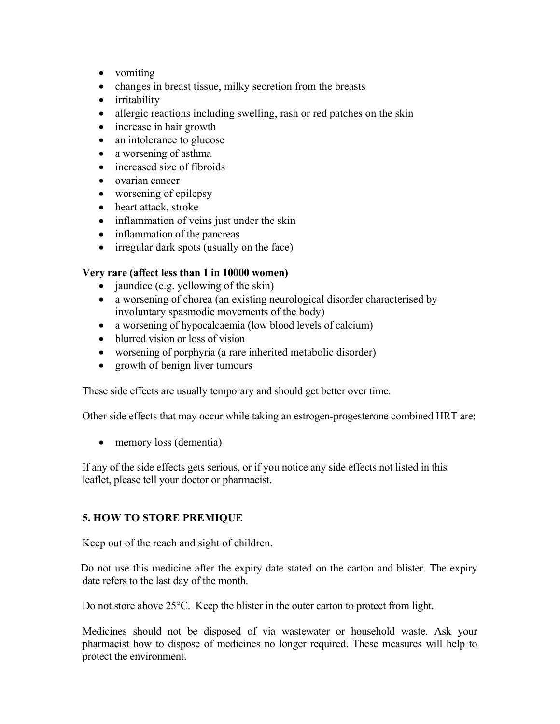- vomiting
- changes in breast tissue, milky secretion from the breasts
- irritability
- allergic reactions including swelling, rash or red patches on the skin
- increase in hair growth
- an intolerance to glucose
- a worsening of asthma
- increased size of fibroids
- ovarian cancer
- worsening of epilepsy
- heart attack, stroke
- inflammation of veins just under the skin
- inflammation of the pancreas
- irregular dark spots (usually on the face)

# **Very rare (affect less than 1 in 10000 women)**

- $\bullet$  jaundice (e.g. yellowing of the skin)
- a worsening of chorea (an existing neurological disorder characterised by involuntary spasmodic movements of the body)
- a worsening of hypocalcaemia (low blood levels of calcium)
- blurred vision or loss of vision
- worsening of porphyria (a rare inherited metabolic disorder)
- growth of benign liver tumours

These side effects are usually temporary and should get better over time.

Other side effects that may occur while taking an estrogen-progesterone combined HRT are:

• memory loss (dementia)

If any of the side effects gets serious, or if you notice any side effects not listed in this leaflet, please tell your doctor or pharmacist.

# **5. HOW TO STORE PREMIQUE**

Keep out of the reach and sight of children.

 Do not use this medicine after the expiry date stated on the carton and blister. The expiry date refers to the last day of the month.

Do not store above 25°C. Keep the blister in the outer carton to protect from light.

Medicines should not be disposed of via wastewater or household waste. Ask your pharmacist how to dispose of medicines no longer required. These measures will help to protect the environment.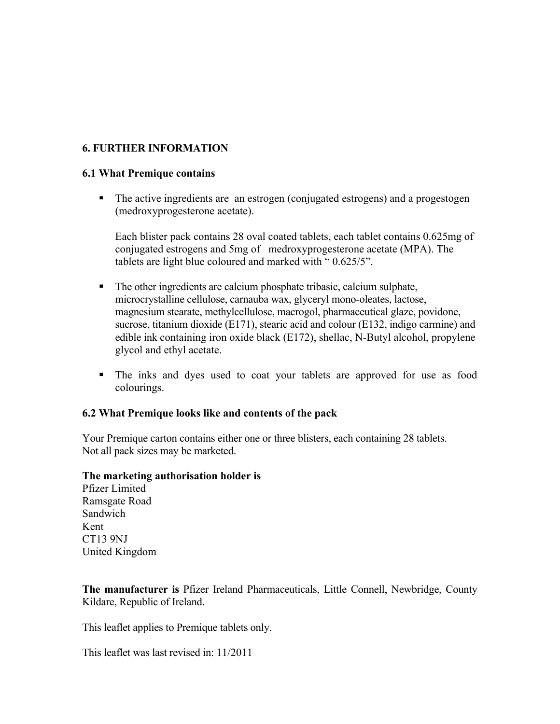## **6. FURTHER INFORMATION**

#### **6.1 What Premique contains**

• The active ingredients are an estrogen (conjugated estrogens) and a progestogen (medroxyprogesterone acetate).

Each blister pack contains 28 oval coated tablets, each tablet contains 0.625mg of conjugated estrogens and 5mg of medroxyprogesterone acetate (MPA). The tablets are light blue coloured and marked with " 0.625/5".

- The other ingredients are calcium phosphate tribasic, calcium sulphate, microcrystalline cellulose, carnauba wax, glyceryl mono-oleates, lactose, magnesium stearate, methylcellulose, macrogol, pharmaceutical glaze, povidone, sucrose, titanium dioxide (E171), stearic acid and colour (E132, indigo carmine) and edible ink containing iron oxide black (E172), shellac, N-Butyl alcohol, propylene glycol and ethyl acetate.
- The inks and dyes used to coat your tablets are approved for use as food colourings.

#### **6.2 What Premique looks like and contents of the pack**

Your Premique carton contains either one or three blisters, each containing 28 tablets. Not all pack sizes may be marketed.

#### **The marketing authorisation holder is**

Pfizer Limited Ramsgate Road Sandwich Kent CT13 9NJ United Kingdom

**The manufacturer is** Pfizer Ireland Pharmaceuticals, Little Connell, Newbridge, County Kildare, Republic of Ireland.

This leaflet applies to Premique tablets only.

This leaflet was last revised in: 11/2011